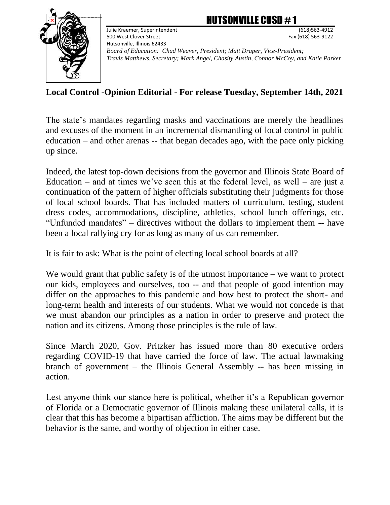## TSONVILLE CUSD  $\#$  1



Julie Kraemer, Superintendent (618)563-4912 500 West Clover Street Fax (618) 563-9122 Hutsonville, Illinois 62433

*Board of Education: Chad Weaver, President; Matt Draper, Vice-President; Travis Matthews, Secretary; Mark Angel, Chasity Austin, Connor McCoy, and Katie Parker* 

## **Local Control -Opinion Editorial - For release Tuesday, September 14th, 2021**

The state's mandates regarding masks and vaccinations are merely the headlines and excuses of the moment in an incremental dismantling of local control in public education – and other arenas -- that began decades ago, with the pace only picking up since.

Indeed, the latest top-down decisions from the governor and Illinois State Board of Education – and at times we've seen this at the federal level, as well – are just a continuation of the pattern of higher officials substituting their judgments for those of local school boards. That has included matters of curriculum, testing, student dress codes, accommodations, discipline, athletics, school lunch offerings, etc. "Unfunded mandates" – directives without the dollars to implement them -- have been a local rallying cry for as long as many of us can remember.

It is fair to ask: What is the point of electing local school boards at all?

We would grant that public safety is of the utmost importance – we want to protect our kids, employees and ourselves, too -- and that people of good intention may differ on the approaches to this pandemic and how best to protect the short- and long-term health and interests of our students. What we would not concede is that we must abandon our principles as a nation in order to preserve and protect the nation and its citizens. Among those principles is the rule of law.

Since March 2020, Gov. Pritzker has issued more than 80 executive orders regarding COVID-19 that have carried the force of law. The actual lawmaking branch of government – the Illinois General Assembly -- has been missing in action.

Lest anyone think our stance here is political, whether it's a Republican governor of Florida or a Democratic governor of Illinois making these unilateral calls, it is clear that this has become a bipartisan affliction. The aims may be different but the behavior is the same, and worthy of objection in either case.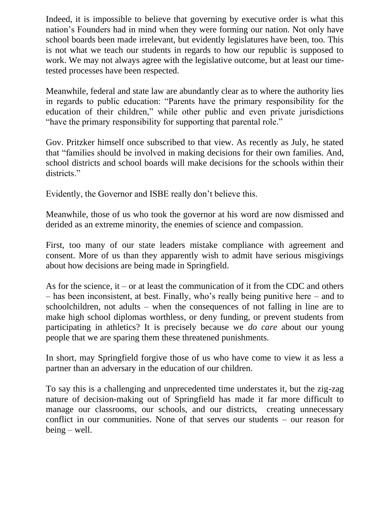Indeed, it is impossible to believe that governing by executive order is what this nation's Founders had in mind when they were forming our nation. Not only have school boards been made irrelevant, but evidently legislatures have been, too. This is not what we teach our students in regards to how our republic is supposed to work. We may not always agree with the legislative outcome, but at least our timetested processes have been respected.

Meanwhile, federal and state law are abundantly clear as to where the authority lies in regards to public education: "Parents have the primary responsibility for the education of their children," while other public and even private jurisdictions "have the primary responsibility for supporting that parental role."

Gov. Pritzker himself once subscribed to that view. As recently as July, he stated that "families should be involved in making decisions for their own families. And, school districts and school boards will make decisions for the schools within their districts."

Evidently, the Governor and ISBE really don't believe this.

Meanwhile, those of us who took the governor at his word are now dismissed and derided as an extreme minority, the enemies of science and compassion.

First, too many of our state leaders mistake compliance with agreement and consent. More of us than they apparently wish to admit have serious misgivings about how decisions are being made in Springfield.

As for the science, it – or at least the communication of it from the CDC and others – has been inconsistent, at best. Finally, who's really being punitive here – and to schoolchildren, not adults – when the consequences of not falling in line are to make high school diplomas worthless, or deny funding, or prevent students from participating in athletics? It is precisely because we *do care* about our young people that we are sparing them these threatened punishments.

In short, may Springfield forgive those of us who have come to view it as less a partner than an adversary in the education of our children.

To say this is a challenging and unprecedented time understates it, but the zig-zag nature of decision-making out of Springfield has made it far more difficult to manage our classrooms, our schools, and our districts, creating unnecessary conflict in our communities. None of that serves our students – our reason for being – well.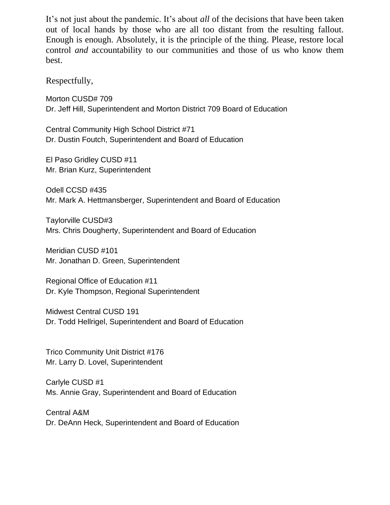It's not just about the pandemic. It's about *all* of the decisions that have been taken out of local hands by those who are all too distant from the resulting fallout. Enough is enough. Absolutely, it is the principle of the thing. Please, restore local control *and* accountability to our communities and those of us who know them best.

Respectfully,

Morton CUSD# 709 Dr. Jeff Hill, Superintendent and Morton District 709 Board of Education

Central Community High School District #71 Dr. Dustin Foutch, Superintendent and Board of Education

El Paso Gridley CUSD #11 Mr. Brian Kurz, Superintendent

Odell CCSD #435 Mr. Mark A. Hettmansberger, Superintendent and Board of Education

Taylorville CUSD#3 Mrs. Chris Dougherty, Superintendent and Board of Education

Meridian CUSD #101 Mr. Jonathan D. Green, Superintendent

Regional Office of Education #11 Dr. Kyle Thompson, Regional Superintendent

Midwest Central CUSD 191 Dr. Todd Hellrigel, Superintendent and Board of Education

Trico Community Unit District #176 Mr. Larry D. Lovel, Superintendent

Carlyle CUSD #1 Ms. Annie Gray, Superintendent and Board of Education

Central A&M Dr. DeAnn Heck, Superintendent and Board of Education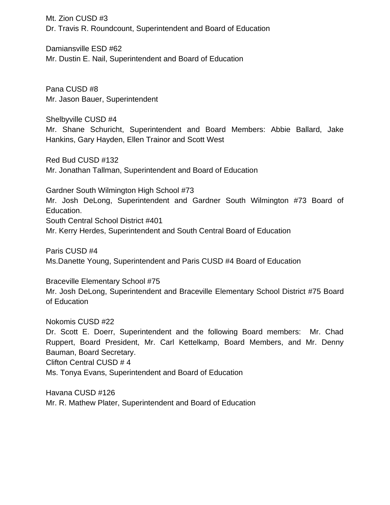Mt. Zion CUSD #3 Dr. Travis R. Roundcount, Superintendent and Board of Education

Damiansville ESD #62 Mr. Dustin E. Nail, Superintendent and Board of Education

Pana CUSD #8 Mr. Jason Bauer, Superintendent

Shelbyville CUSD #4 Mr. Shane Schuricht, Superintendent and Board Members: Abbie Ballard, Jake Hankins, Gary Hayden, Ellen Trainor and Scott West

Red Bud CUSD #132 Mr. Jonathan Tallman, Superintendent and Board of Education

Gardner South Wilmington High School #73 Mr. Josh DeLong, Superintendent and Gardner South Wilmington #73 Board of Education. South Central School District #401 Mr. Kerry Herdes, Superintendent and South Central Board of Education

Paris CUSD #4 Ms.Danette Young, Superintendent and Paris CUSD #4 Board of Education

Braceville Elementary School #75 Mr. Josh DeLong, Superintendent and Braceville Elementary School District #75 Board of Education

Nokomis CUSD #22 Dr. Scott E. Doerr, Superintendent and the following Board members: Mr. Chad Ruppert, Board President, Mr. Carl Kettelkamp, Board Members, and Mr. Denny Bauman, Board Secretary. Clifton Central CUSD # 4 Ms. Tonya Evans, Superintendent and Board of Education

Havana CUSD #126 Mr. R. Mathew Plater, Superintendent and Board of Education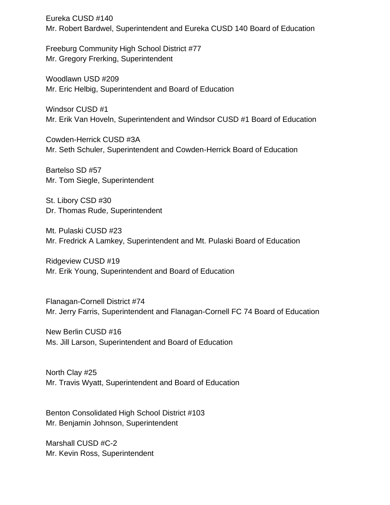Eureka CUSD #140 Mr. Robert Bardwel, Superintendent and Eureka CUSD 140 Board of Education

Freeburg Community High School District #77 Mr. Gregory Frerking, Superintendent

Woodlawn USD #209 Mr. Eric Helbig, Superintendent and Board of Education

Windsor CUSD #1 Mr. Erik Van Hoveln, Superintendent and Windsor CUSD #1 Board of Education

Cowden-Herrick CUSD #3A Mr. Seth Schuler, Superintendent and Cowden-Herrick Board of Education

Bartelso SD #57 Mr. Tom Siegle, Superintendent

St. Libory CSD #30 Dr. Thomas Rude, Superintendent

Mt. Pulaski CUSD #23 Mr. Fredrick A Lamkey, Superintendent and Mt. Pulaski Board of Education

Ridgeview CUSD #19 Mr. Erik Young, Superintendent and Board of Education

Flanagan-Cornell District #74 Mr. Jerry Farris, Superintendent and Flanagan-Cornell FC 74 Board of Education

New Berlin CUSD #16 Ms. Jill Larson, Superintendent and Board of Education

North Clay #25 Mr. Travis Wyatt, Superintendent and Board of Education

Benton Consolidated High School District #103 Mr. Benjamin Johnson, Superintendent

Marshall CUSD #C-2 Mr. Kevin Ross, Superintendent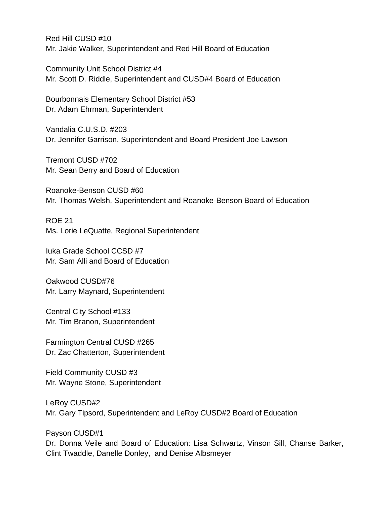Red Hill CUSD #10 Mr. Jakie Walker, Superintendent and Red Hill Board of Education

Community Unit School District #4 Mr. Scott D. Riddle, Superintendent and CUSD#4 Board of Education

Bourbonnais Elementary School District #53 Dr. Adam Ehrman, Superintendent

Vandalia C.U.S.D. #203 Dr. Jennifer Garrison, Superintendent and Board President Joe Lawson

Tremont CUSD #702 Mr. Sean Berry and Board of Education

Roanoke-Benson CUSD #60 Mr. Thomas Welsh, Superintendent and Roanoke-Benson Board of Education

ROE 21 Ms. Lorie LeQuatte, Regional Superintendent

Iuka Grade School CCSD #7 Mr. Sam Alli and Board of Education

Oakwood CUSD#76 Mr. Larry Maynard, Superintendent

Central City School #133 Mr. Tim Branon, Superintendent

Farmington Central CUSD #265 Dr. Zac Chatterton, Superintendent

Field Community CUSD #3 Mr. Wayne Stone, Superintendent

LeRoy CUSD#2 Mr. Gary Tipsord, Superintendent and LeRoy CUSD#2 Board of Education

Payson CUSD#1

Dr. Donna Veile and Board of Education: Lisa Schwartz, Vinson Sill, Chanse Barker, Clint Twaddle, Danelle Donley, and Denise Albsmeyer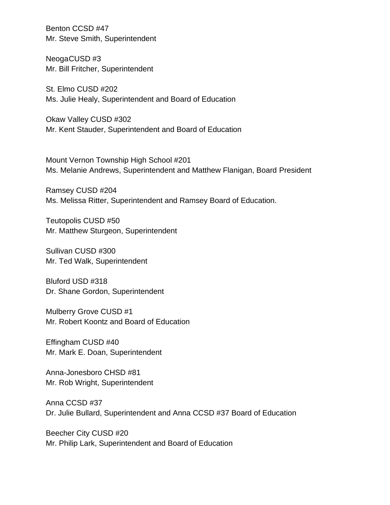Benton CCSD #47 Mr. Steve Smith, Superintendent

NeogaCUSD #3 Mr. Bill Fritcher, Superintendent

St. Elmo CUSD #202 Ms. Julie Healy, Superintendent and Board of Education

Okaw Valley CUSD #302 Mr. Kent Stauder, Superintendent and Board of Education

Mount Vernon Township High School #201 Ms. Melanie Andrews, Superintendent and Matthew Flanigan, Board President

Ramsey CUSD #204 Ms. Melissa Ritter, Superintendent and Ramsey Board of Education.

Teutopolis CUSD #50 Mr. Matthew Sturgeon, Superintendent

Sullivan CUSD #300 Mr. Ted Walk, Superintendent

Bluford USD #318 Dr. Shane Gordon, Superintendent

Mulberry Grove CUSD #1 Mr. Robert Koontz and Board of Education

Effingham CUSD #40 Mr. Mark E. Doan, Superintendent

Anna-Jonesboro CHSD #81 Mr. Rob Wright, Superintendent

Anna CCSD #37 Dr. Julie Bullard, Superintendent and Anna CCSD #37 Board of Education

Beecher City CUSD #20 Mr. Philip Lark, Superintendent and Board of Education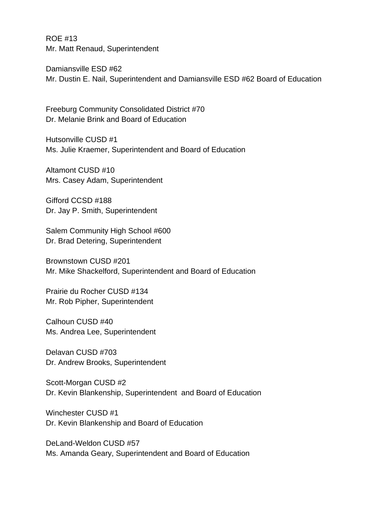ROE #13 Mr. Matt Renaud, Superintendent

Damiansville ESD #62 Mr. Dustin E. Nail, Superintendent and Damiansville ESD #62 Board of Education

Freeburg Community Consolidated District #70 Dr. Melanie Brink and Board of Education

Hutsonville CUSD #1 Ms. Julie Kraemer, Superintendent and Board of Education

Altamont CUSD #10 Mrs. Casey Adam, Superintendent

Gifford CCSD #188 Dr. Jay P. Smith, Superintendent

Salem Community High School #600 Dr. Brad Detering, Superintendent

Brownstown CUSD #201 Mr. Mike Shackelford, Superintendent and Board of Education

Prairie du Rocher CUSD #134 Mr. Rob Pipher, Superintendent

Calhoun CUSD #40 Ms. Andrea Lee, Superintendent

Delavan CUSD #703 Dr. Andrew Brooks, Superintendent

Scott-Morgan CUSD #2 Dr. Kevin Blankenship, Superintendent and Board of Education

Winchester CUSD #1 Dr. Kevin Blankenship and Board of Education

DeLand-Weldon CUSD #57 Ms. Amanda Geary, Superintendent and Board of Education